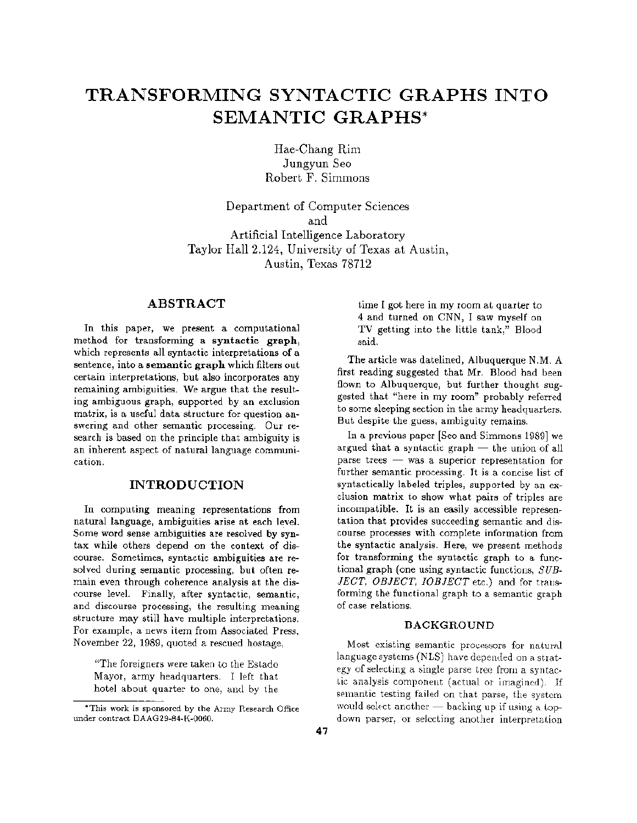# **TRANSFORMING SYNTACTIC GRAPHS INTO SEMANTIC GRAPHS\***

Hae-Chang Rim Jungyun Seo Robert F. Simmons

Department of Computer Sciences and Artificial Intelligence Laboratory Taylor Hall 2.124, University of Texas at Austin, Austin, Texas 78712

## ABSTRACT

In this paper, we present a computational method for transforming a syntactic graph, which represents all syntactic interpretations of a sentence, into a semantic graph which filters out certain interpretations, but also incorporates any remaining ambiguities. We argue that the resulting ambiguous graph, supported by an exclusion matrix, is a useful data structure for question answering and other semantic processing. Our research is based on the principle that ambiguity is an inherent aspect of natural language communication.

#### INTRODUCTION

In computing meaning representations from natural language, ambiguities arise at each level. Some word sense ambiguities are resolved by syntax while others depend on the context of discourse. Sometimes, syntactic ambiguities are resolved during semantic processing, but often remain even through coherence analysis at the discourse level. Finally, after syntactic, semantic, and discourse processing, the resulting meaning structure may still have multiple interpretations. For example, a news item from Associated Press, November 22, 1989, quoted a rescued hostage,

"The foreigners were taken to the Estado Mayor, army headquarters. I left that hotel about quarter to one, and by the time I got here in my room at quarter to 4 and turned on CNN, I saw myself on TV getting into the little tank," Blood said.

The article was datelined, Albuquerque N.M. A first reading suggested that Mr. Blood had been flown to Albuquerque, but further thought suggested that "here in my room" probably referred to some sleeping section in the army headquarters. But despite the guess, ambiguity remains.

In a previous paper [Seo and Simmons 1989] we argued that a syntactic graph  $-$  the union of all parse trees  $-$  was a superior representation for further semantic processing. It is a concise list of syntactically labeled triples, supported by an exclusion matrix to show what pairs of triples are incompatible. It is an easily accessible representation that provides succeeding semantic and discourse processes with complete information from the syntactic analysis. Here, we present methods for transforming the syntactic graph to a functional graph (one using syntactic functions, *SUB-JECT, OBJECT, IOBJECT* etc.) and for transforming the functional graph to a semantic graph of case relations.

#### BACKGROUND

Most existing semantic processors for natural language systems (NLS) have depended on a strategy of selecting a single parse tree from a syntactic analysis component (actual or imagined). If semantic testing failed on that parse, the system would select another  $-$  backing up if using a topdown parser, or selecting another interpretation

<sup>\*</sup>This work is sponsored by the Army Research Office under contract DAAG29-84-K-0060.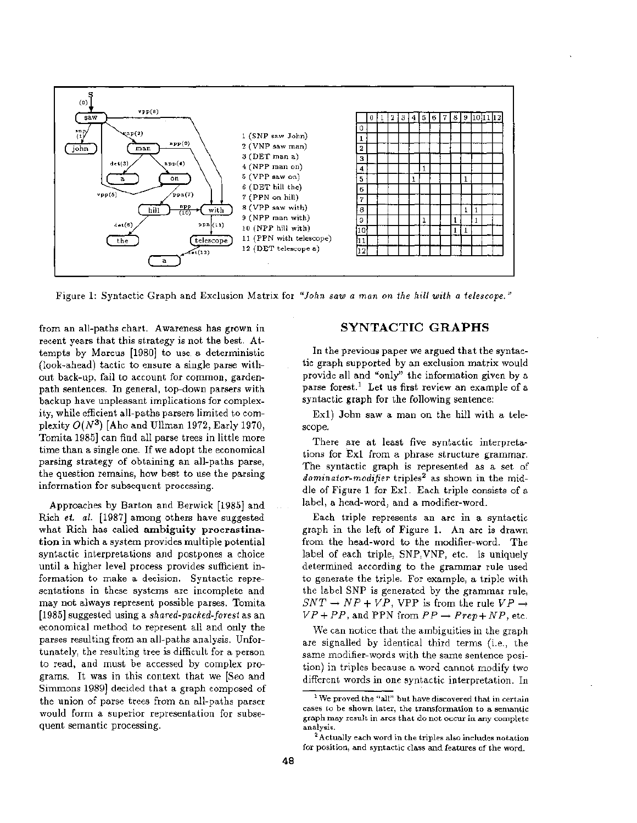

Figure 1: Syntactic Graph and Exclusion Matrix for *"John saw a man on the hill with a telescope."* 

from an all-paths chart. Awareness has grown in recent years that this strategy is not the best. Attempts by Marcus [1980] to use a deterministic (look-ahead) tactic to ensure a single parse without back-up, fail to account for common, gardenpath sentences. In general, top-down parsers with backup have unpleasant implications for complexity, while efficient all-paths parsers limited to complexity  $O(N^3)$  [Aho and Ullman 1972, Early 1970, Tomita 1985] can find all parse trees in little more time than a single one. If we adopt the economical parsing strategy of obtaining an all-paths parse, the question remains, how best to use the parsing information for subsequent processing.

Approaches by Barton and Berwick [1985] and Rich et. al. [1987] among others have suggested what Rich has called ambiguity procrastination in which a system provides multiple potential syntactic interpretations and postpones a choice until a higher level process provides sufficient information to make a decision. Syntactic representations in these systems are incomplete and may not always represent possible parses. Tomita [1985] suggested using a *shared-packed-forest* as an economical method to represent all and only the parses resulting from an all-paths analysis. Unfortunately, the resulting tree is difficult for a person to read, and must be accessed by complex programs. It was in this context that we [Seo and Simmons 1989] decided that a graph composed of the union of parse trees from an all-paths parser would form a superior representation for subsequent semantic processing.

## SYNTACTIC GRAPHS

In the previous paper we argued that the syntactic graph supported by an exclusion matrix would provide all and "only" the information given by a parse forest.<sup>1</sup> Let us first review an example of a syntactic graph for the following sentence:

Exl) John saw a man on the hill with a telescope.

There are at least five syntactic interpretations for Exl from a phrase structure grammar. The syntactic graph is represented as a set of dominator-modifier triples<sup>2</sup> as shown in the middle of Figure 1 for Exl. Each triple consists of a label, a head-word, and a modifier-word.

Each triple represents an arc in a syntactic graph in the left of Figure 1. An arc is drawn from the head-word to the modifier-word. The label of each triple, SNP, VNP, etc. is uniquely determined according to the grammar rule used to generate the triple. For example, a triple with the label SNP is generated by the grammar rule,  $SNT \rightarrow NP + VP$ , VPP is from the rule  $VP \rightarrow$  $VP + PP$ , and PPN from  $PP \rightarrow Prep + NP$ , etc.

We can notice that the ambiguities in the graph are signalled by identical third terms (i.e., the same modifier-words with the same sentence position) in triples because a word cannot modify two different words in one syntactic interpretation. In

<sup>1</sup> We proved the "all" but have discovered that in certain cases to be shown later, the transformation to a semantic graph may result in arcs that do not occur in any complete analysis.

<sup>&</sup>lt;sup>2</sup> Actually each word in the triples also includes notation for position, and syntactic class and features of the word.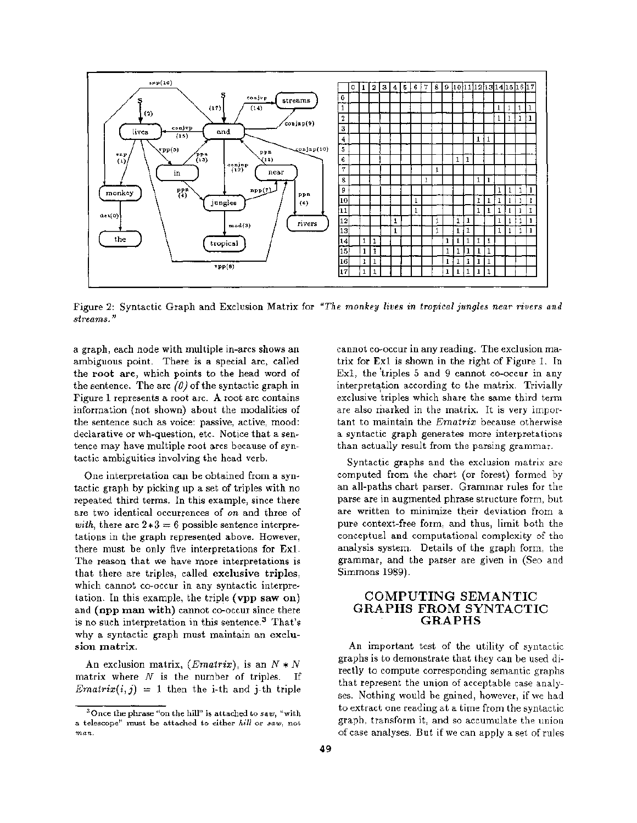

Figure 2: Syntactic Graph and Exclusion Matrix for *"The monkey lives in tropical jungles near rivers and streams."* 

a graph, each node with multiple in-arcs shows an ambiguous point. There is a special arc, called the root are, which points to the head word of the sentence. The arc  $(0)$  of the syntactic graph in Figure 1 represents a root arc. A root arc contains information (not shown) about the modalities of the sentence such as voice: passive, active, mood: declarative or wh-question, etc. Notice that a sentence may have multiple root arcs because of syntactic ambiguities involving the head verb.

One interpretation can be obtained from a syntactic graph by picking up a set of triples with no repeated third terms. In this example, since there are two identical occurrences of *on* and three of *with,* there are  $2*3 = 6$  possible sentence interpretations in the graph represented above. However, there must be only five interpretations for Exl. The reason that we have more interpretations is that there are triples, called exclusive triples, which cannot co-occur in any syntactic interpretation. In this example, the triple (vpp saw on) and (npp man with) cannot co-occur since there is no such interpretation in this sentence.<sup>3</sup> That's why a syntactic graph must maintain an exelusion matrix.

An exclusion matrix,  $(Ematrix)$ , is an  $N*N$ matrix where  $N$  is the number of triples. If *Ematrix(i,j)* = 1 then the i-th and j-th triple

cannot co-occur in any reading. The exclusion matrix for Exl is shown in the right of Figure 1. In Exl, the 'triples 5 and 9 cannot co-occur in any interpretation according to the matrix. Trivially exclusive triples which share the same third term are also marked in the matrix. It is very important to maintain the *Ematrix* because otherwise a syntactic graph generates more interpretations than actually result from the parsing grammar.

Syntactic graphs and the exclusion matrix are computed from the chart (or forest) formed by an all-paths chart parser. Grammar rules for the parse are in augmented phrase structure form, but are written to minimize their deviation from a pure context-free form, and thus, limit both the conceptual and computational complexity of the analysis system. Details of the graph form, the grammar, and the parser are given in (Seo and Simmons 1989).

### **COMPUTING SEMANTIC GRAPHS FROM SYNTACTIC GRAPHS**

An important test of the utility of syntactic graphs is to demonstrate that they can be used directly to compute corresponding semantic graphs that represent the union of acceptable case analyses. Nothing would be gained, however, if we had to extract one reading at a time from the syntactic graph, transform it, and so accumulate the union of case analyses. But if we can apply a set of rules

<sup>3</sup>Once the phrase "on the hill" is attached to *saw,* "with a telescope" must be attached to either *hill* or *saw,* not man.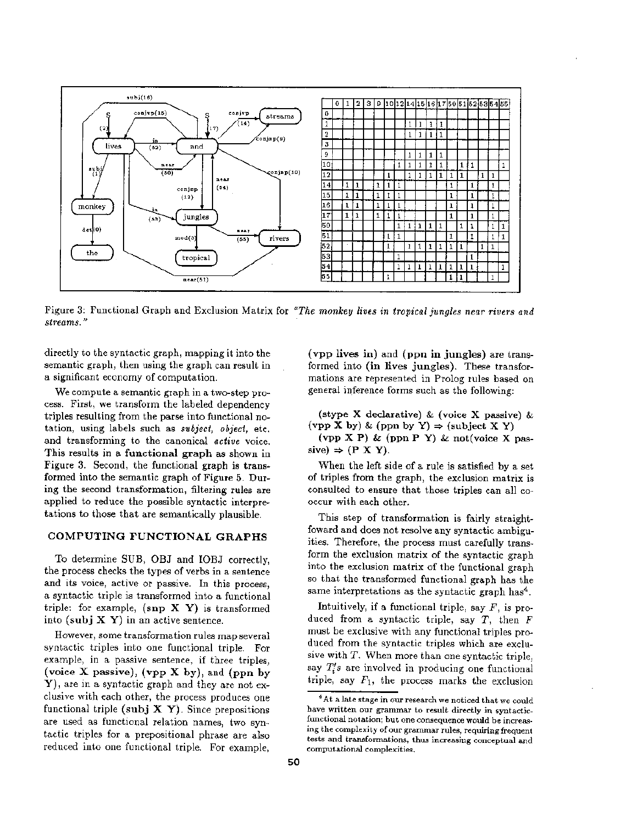

Figure 3: Functional Graph and Exclusion Matrix for *"The monkey lives in tropical jungles near rivers and streams."* 

directly to the syntactic graph, mapping it into the semantic graph, then using the graph can result in a significant economy of computation.

We compute a semantic graph in a two-step process. First, we transform the labeled dependency triples resulting from the parse into functional notation, using labels such as *subject, object,* etc. and transforming to the canonical *active* voice. This results in a functional graph as shown in Figure 3. Second, the functional graph is transformed into the semantic graph of Figure 5. During the second transformation, filtering rules are applied to reduce the possible syntactic interpretations to those that are semantically plausible.

#### COMPUTING FUNCTIONAL GRAPHS

To determine SUB, OBJ and IOBJ correctly, the process checks the types of verbs in a sentence and its voice, active or passive. In this process, a syntactic triple is transformed into a functional triple: for example,  $(\text{snp } X \ Y)$  is transformed into (subj  $X$  Y) in an active sentence.

However, some transformation rules map several syntactic triples into one functional triple. For example, in a passive sentence, if three triples, (voice X passive),  $(\text{vpp } X \text{ by})$ , and  $(\text{ppn by})$ Y), are in a syntactic graph and they are not exclusive with each other, the process produces one functional triple (subj  $X Y$ ). Since prepositions are used as functional relation names, two syntactic triples for a prepositional phrase are also reduced into one functional triple. For example,

(vpp lives in) and (ppn in jungles) are transformed into (in lives jungles). These transformations are represented in Prolog rules based on general inference forms such as the following:

(stype X declarative) & (voice X passive) & (vpp X by) & (ppn by Y)  $\Rightarrow$  (subject X Y)

(vpp X P) & (ppn P Y) & not(voice X pas $sive) \Rightarrow (P X Y).$ 

When the left side of a rule is satisfied by a set of triples from the graph, the exclusion matrix is consulted to ensure that those triples can all cooccur with each other.

This step of transformation is fairly straighttoward and does not resolve any syntactic ambiguities. Therefore, the process must carefully transform the exclusion matrix of the syntactic graph into the exclusion matrix of the functional graph so that the transformed functional graph has the same interpretations as the syntactic graph has<sup>4</sup>.

Intuitively, if a functional triple, say  $F$ , is produced from a syntactic triple, say  $T$ , then  $F$ must be exclusive with any functional triples produced from the syntactic triples which are exclusive with  $T$ . When more than one syntactic triple, say  $T_i$ 's are involved in producing one functional triple, say  $F_1$ , the process marks the exclusion

<sup>&</sup>lt;sup>4</sup> At a late stage in our research we noticed that we could have written our grammar to result directly in syntacticfunctional notation; but one consequence would be increasing the complexity of our grammar rules, requiring frequent tests and transformations, thus increasing conceptual and computational complexities.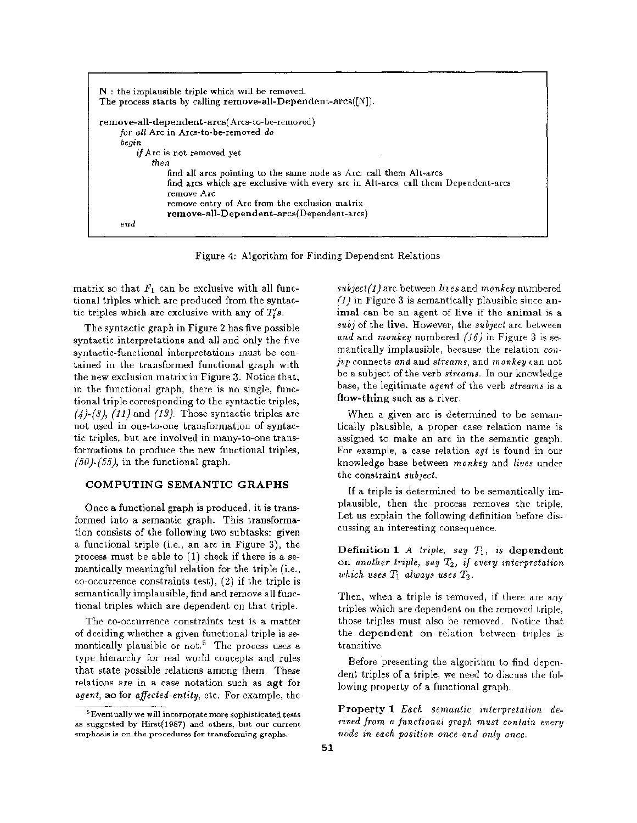| $N$ : the implausible triple which will be removed.<br>The process starts by calling remove-all-Dependent-arcs( $[N]$ ). |
|--------------------------------------------------------------------------------------------------------------------------|
| remove-all-dependent-arcs(Arcs-to-be-removed)                                                                            |
| for all Arc in Arcs-to-be-removed do                                                                                     |
| beoin                                                                                                                    |
| <i>if</i> Arc is not removed vet                                                                                         |
| then                                                                                                                     |
| find all arcs pointing to the same node as Arc: call them Alt-arcs                                                       |
| find arcs which are exclusive with every arc in Alt-arcs, call them Dependent-arcs<br>remove Arc                         |
| remove entry of Arc from the exclusion matrix                                                                            |
| remove-all-Dependent-arcs(Dependent-arcs)                                                                                |
| end                                                                                                                      |

Figure 4: Algorithm for Finding Dependent Relations

matrix so that  $F_1$  can be exclusive with all functional triples which are produced from the syntactic triples which are exclusive with any of  $T_{\rm s}$ .

The syntactic graph in Figure 2 has five possible syntactic interpretations and all and only the five syntactic-functional interpretations must be contained in the transformed functional graph with the new exclusion matrix in Figure 3. Notice that, in the functional graph, there is no single, functional triple corresponding to the syntactic triples, *(~)-(8), (11)* and *(13).* Those syntactic triples are not used in one-to-one transformation of syntactic triples, but are involved in many-to-one transformations to produce the new functional triples, *(50)-(55),* in the functional graph.

#### COMPUTING SEMANTIC GRAPHS

Once a functional graph is produced, it is transformed into a semantic graph. This transformation consists of the following two subtasks: given a functional triple (i.e., an are in Figure 3), the process must be able to (1) check if there is a semantically meaningful relation for the triple (i.e., co-occurrence constraints test), (2) if the triple is semantically implausible, find and remove all functional triples which are dependent on that triple.

The co-occurrence constraints test is a matter of deciding whether a given functional triple is semantically plausible or not.<sup>5</sup> The process uses a type hierarchy for real world concepts and rules that state possible relations among them. These relations are in a case notation such as agt for *agent,* ae for *affected-entity,* etc. For example, the

*subject(I)* arc between *lives* and *monkey* numbered *(1)* in Figure 3 is semantically plausible since animal can be an agent of live if the animal is a *subj* of the live. However, the *subject* arc between *and* and *monkey* numbered *(15)* in Figure 3 is semantically implausible, because the relation *conjvp* connects *and* and *streams,* and *monkey* can not be a subject of the verb *streams.* In our knowledge base, the legitimate *agent* of the verb *streams* is a flow-thing such as a river.

When a given arc is determined to be semantically plausible, a proper case relation name is assigned to make an arc in the semantic graph. For example, a case relation *agt* is found in our knowledge base between *monkey* and *lives* under the constraint *subject.* 

If a triple is determined to be semantically implausible, then the process removes the triple. Let us explain the following definition before discussing an interesting consequence.

Definition *1 A triple, say T1, is* dependent on *another triple, say T2, if every interpretation which uses*  $T_1$  *always uses*  $T_2$ .

Then, when a triple is removed, if there are any triples which are dependent on the removed triple, those triples must also be removed. Notice that the dependent on relation between triples is transitive.

Before presenting the algorithm to find dependent triples of a triple, we need to discuss the following property of a functional graph.

Property 1 *Each semantic interpretation derived from a functional graph must contain every node in each position once and only once.* 

<sup>5</sup> Eventually we will incorporate more sophisticated tests as suggested by Hirst(1987) and others, but our current emphasis is on the procedures for transforming graphs.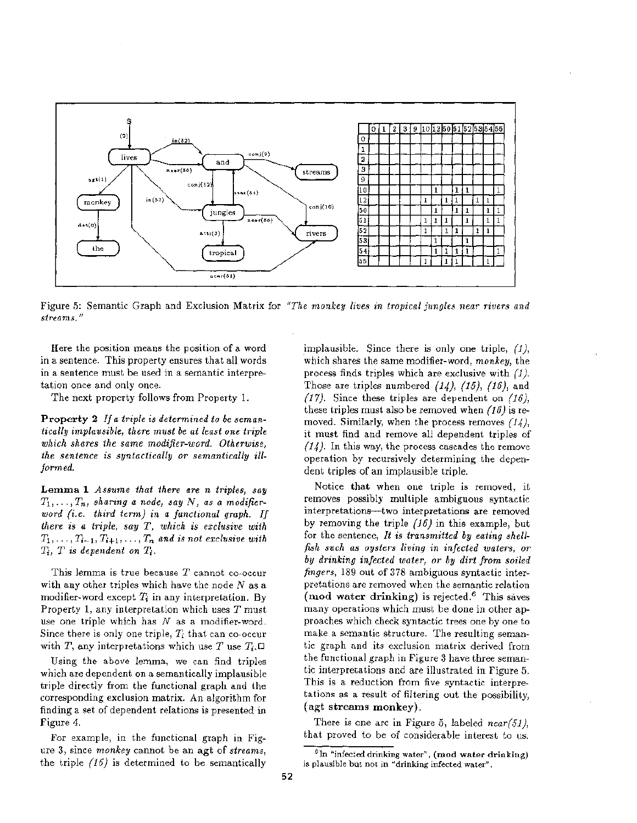

Figure 5: Semantic Graph and Exclusion Matrix for *"The monkey lives in tropical jungles near rivers and streams."* 

Here the position means the position of a word in a sentence. This property ensures that all words in a sentence must be used in a semantic interpretation once and only once.

The next property follows from Property 1.

Property 2 *Ira triple is determined to be semantically implausible, there must be at least one triple which shares the same modifier-word. Otherwise, the sentence is syntactically or semantically illformed.* 

Lemma 1 *Assume that there are n triples, say*   $T_1, \ldots, T_n$ , sharing a node, say N, as a modifier*word (i.e. third term) in a functional graph. If there is a triple, say T, which is exclusive with*   $T_1, \ldots, T_{i-1}, T_{i+1}, \ldots, T_n$  and is not exclusive with  $T_i$ ,  $T$  is dependent on  $T_i$ .

This lemma is true because  $T$  cannot co-occur with any other triples which have the node  $N$  as a modifier-word except  $T_i$  in any interpretation. By Property 1, any interpretation which uses T must use one triple which has  $N$  as a modifier-word. Since there is only one triple,  $T_i$  that can co-occur with T, any interpretations which use T use  $T_i$ .

Using the above lemma, we can find triples which are dependent on a semantically implausible triple directly from the functional graph and the corresponding exclusion matrix. An algorithm for finding a set of dependent relations is presented in Figure 4.

For example, in the functional graph in Figure 3, since *monkey* cannot be an agt of *streams,*  the triple *(15.)* is determined to be semantically implausible. Since there is only one triple, *(1),*  which shares the same modifier-word, *monkey,* the process finds triples which are exclusive with *(1).*  Those are triples numbered *(14), (15), (16),* and *(17).* Since these triples are dependent on *(16),*  these triples must also be removed when *(16)* is removed. Similarly, when the process removes *(14),*  it must find and remove all dependent triples of *(14).* In this way, the process cascades the remove operation by recursively determining the dependent triples of an implausible triple.

Notice that when one triple is removed, it removes possibly multiple ambiguous syntactic interpretations--two interpretations are removed by removing the triple *(16)* in this example, but for the sentence, *It is transmitted by eating shellfish such as oysters living in infected waters, or by drinking infected water, or by dirt from soiled fingers,* 189 out of 378 ambiguous syntactic interpretations are removed when the semantic relation (mod water drinking) is rejected. $6$  This saves many operations which must be done in other approaches which check syntactic trees one by one to make a semantic structure. The resulting semantic graph and its exclusion matrix derived from the functional graph in Figure 3 have three semantic interpretations and are illustrated in Figure 5. This is a reduction from five syntactic interpretations as a result of filtering out the possibility, (agt streams monkey).

There is one arc in Figure 5, labeled *near(51),*  that proved to be of considerable interest to us.

 $6$ In "infected drinking water", (mod water drinking) is plausible but not in "drinking infected water".